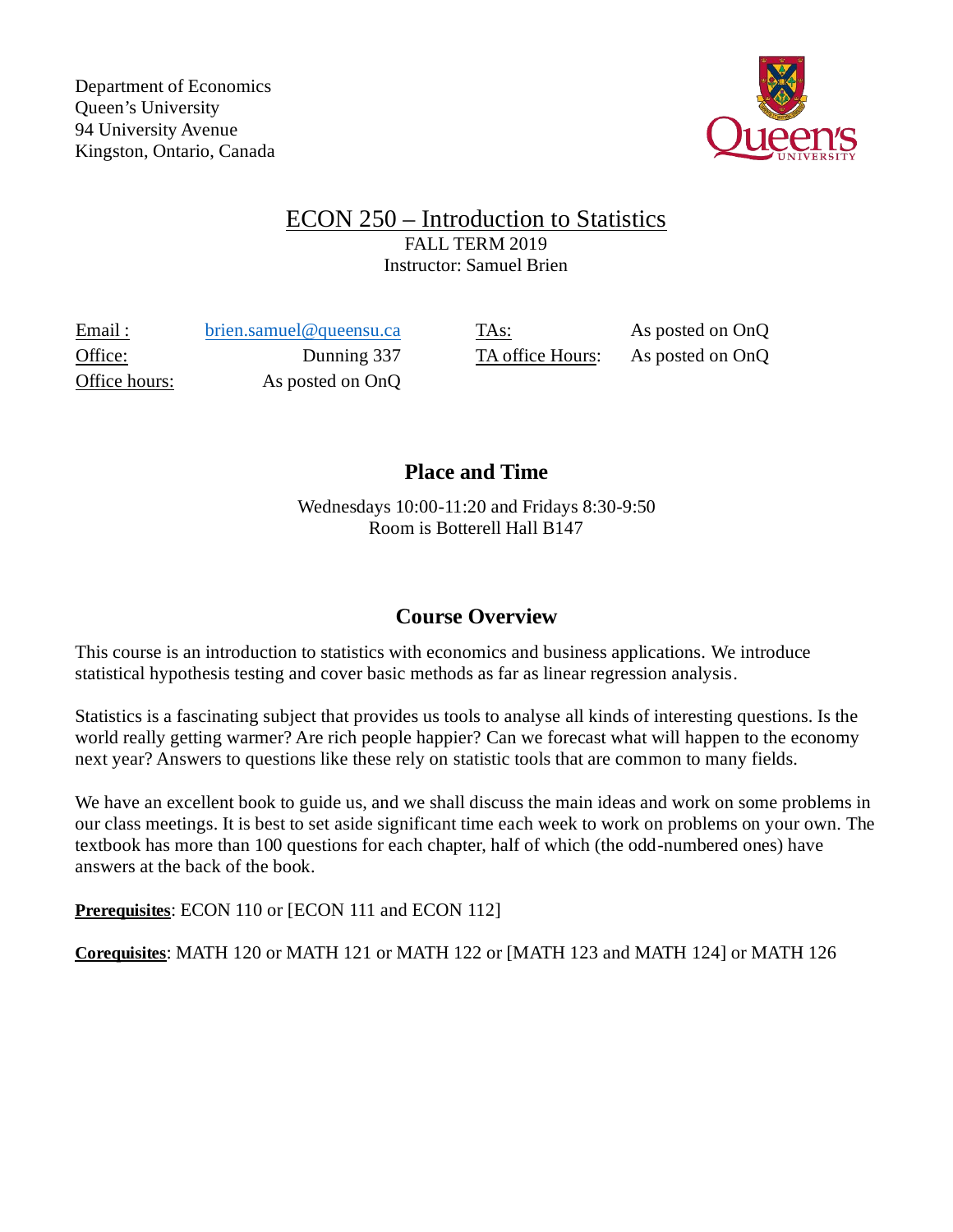

## ECON 250 – Introduction to Statistics FALL TERM 2019 Instructor: Samuel Brien

Email : [brien.samuel@queensu.ca](mailto:brien.samuel@queensu.ca) TAs: As posted on OnQ Office: Dunning 337 TA office Hours: As posted on OnQ Office hours: As posted on OnQ

# **Place and Time**

Wednesdays 10:00-11:20 and Fridays 8:30-9:50 Room is Botterell Hall B147

# **Course Overview**

This course is an introduction to statistics with economics and business applications. We introduce statistical hypothesis testing and cover basic methods as far as linear regression analysis.

Statistics is a fascinating subject that provides us tools to analyse all kinds of interesting questions. Is the world really getting warmer? Are rich people happier? Can we forecast what will happen to the economy next year? Answers to questions like these rely on statistic tools that are common to many fields.

We have an excellent book to guide us, and we shall discuss the main ideas and work on some problems in our class meetings. It is best to set aside significant time each week to work on problems on your own. The textbook has more than 100 questions for each chapter, half of which (the odd-numbered ones) have answers at the back of the book.

**Prerequisites**: ECON 110 or [ECON 111 and ECON 112]

**Corequisites**: MATH 120 or MATH 121 or MATH 122 or [MATH 123 and MATH 124] or MATH 126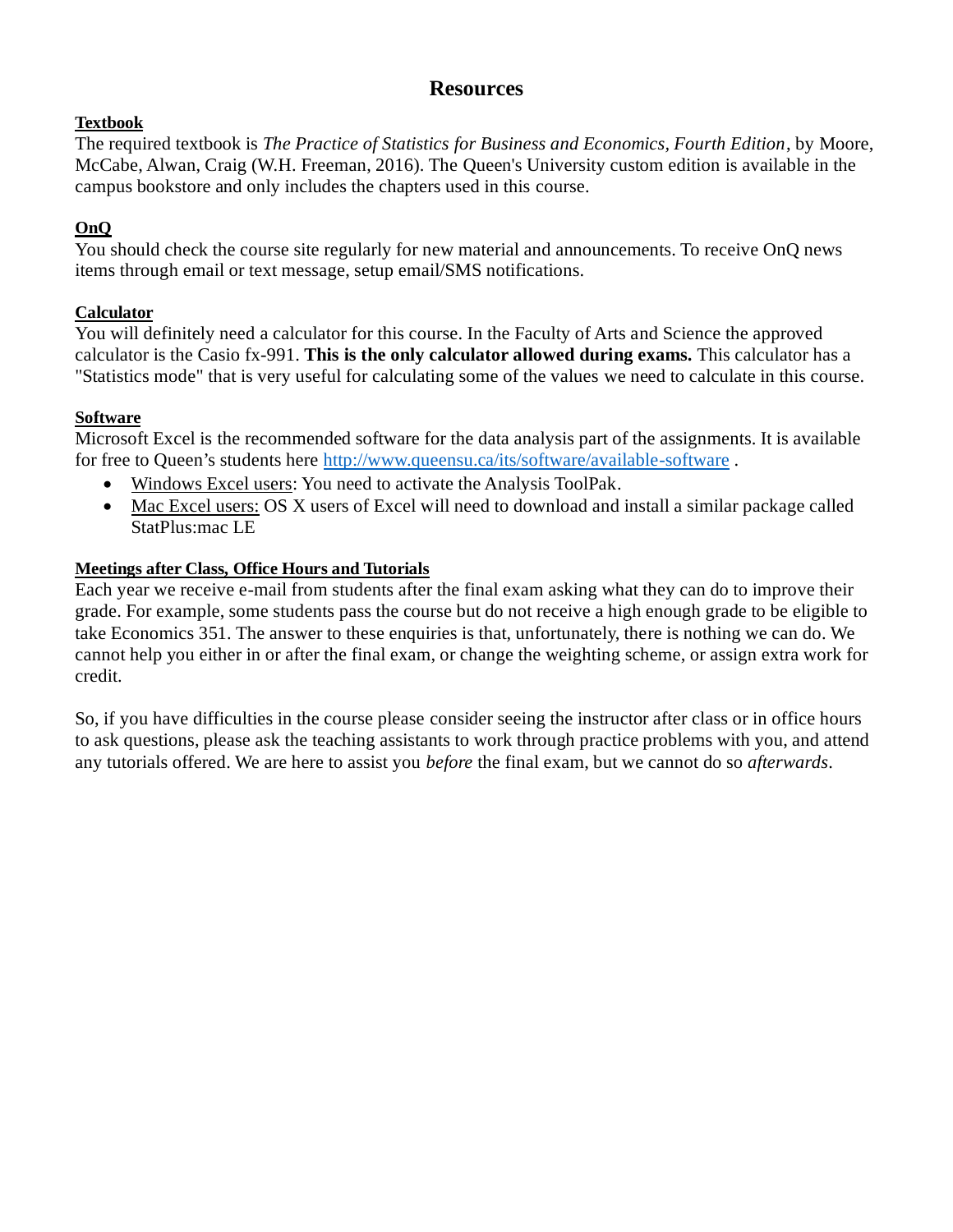## **Resources**

### **Textbook**

The required textbook is *The Practice of Statistics for Business and Economics, Fourth Edition*, by Moore, McCabe, Alwan, Craig (W.H. Freeman, 2016). The [Queen's University custom edition](http://qed.econ.queensu.ca/pub/faculty/smithgw/econ250/CoverImageNovember2016.pdf) is available in the campus bookstore and only includes the chapters used in this course.

## **OnQ**

You should check the course site regularly for new material and announcements. To receive OnQ news items through email or text message, setup email/SMS notifications.

## **Calculator**

You will definitely need a calculator for this course. In the Faculty of Arts and Science the approved calculator is the Casio fx-991. **This is the only calculator allowed during exams.** This calculator has a "Statistics mode" that is very useful for calculating some of the values we need to calculate in this course.

### **Software**

Microsoft Excel is the recommended software for the data analysis part of the assignments. It is available for free to Queen's students here<http://www.queensu.ca/its/software/available-software>.

- Windows Excel users: You need to activate the Analysis ToolPak.
- Mac Excel users: OS X users of Excel will need to download and install a similar package called StatPlus:mac LE

## **Meetings after Class, Office Hours and Tutorials**

Each year we receive e-mail from students after the final exam asking what they can do to improve their grade. For example, some students pass the course but do not receive a high enough grade to be eligible to take Economics 351. The answer to these enquiries is that, unfortunately, there is nothing we can do. We cannot help you either in or after the final exam, or change the weighting scheme, or assign extra work for credit.

So, if you have difficulties in the course please consider seeing the instructor after class or in office hours to ask questions, please ask the teaching assistants to work through practice problems with you, and attend any tutorials offered. We are here to assist you *before* the final exam, but we cannot do so *afterwards*.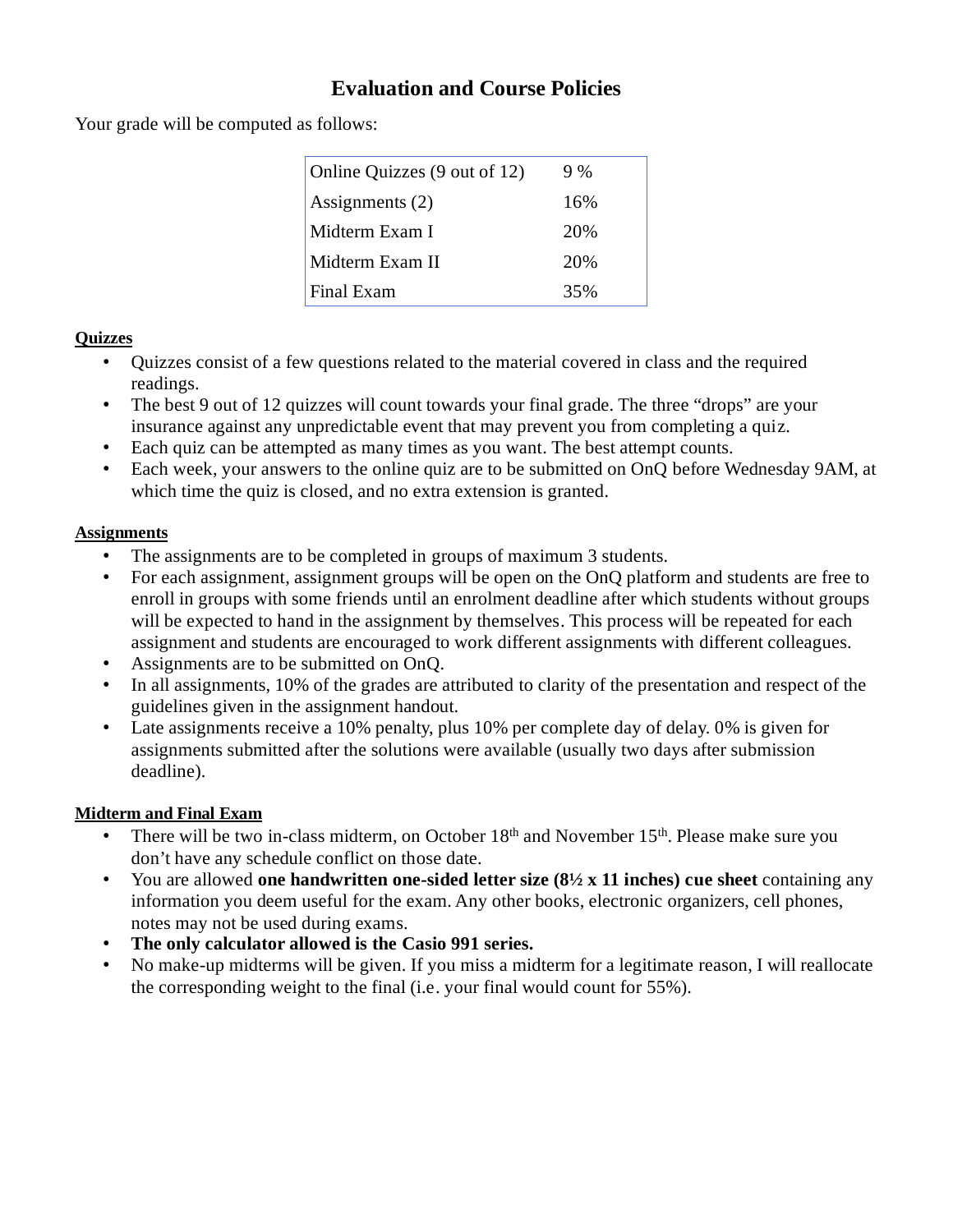# **Evaluation and Course Policies**

Your grade will be computed as follows:

| Online Quizzes (9 out of 12) | $9\%$ |
|------------------------------|-------|
| Assignments (2)              | 16%   |
| Midterm Exam I               | 20%   |
| Midterm Exam II              | 20%   |
| Final Exam                   | 35%   |
|                              |       |

#### **Quizzes**

- Quizzes consist of a few questions related to the material covered in class and the required readings.
- The best 9 out of 12 quizzes will count towards your final grade. The three "drops" are your insurance against any unpredictable event that may prevent you from completing a quiz.
- Each quiz can be attempted as many times as you want. The best attempt counts.
- Each week, your answers to the online quiz are to be submitted on OnQ before Wednesday 9AM, at which time the quiz is closed, and no extra extension is granted.

#### **Assignments**

- The assignments are to be completed in groups of maximum 3 students.
- For each assignment, assignment groups will be open on the OnQ platform and students are free to enroll in groups with some friends until an enrolment deadline after which students without groups will be expected to hand in the assignment by themselves. This process will be repeated for each assignment and students are encouraged to work different assignments with different colleagues.
- Assignments are to be submitted on OnQ.
- In all assignments, 10% of the grades are attributed to clarity of the presentation and respect of the guidelines given in the assignment handout.
- Late assignments receive a 10% penalty, plus 10% per complete day of delay. 0% is given for assignments submitted after the solutions were available (usually two days after submission deadline).

#### **Midterm and Final Exam**

- There will be two in-class midterm, on October  $18<sup>th</sup>$  and November  $15<sup>th</sup>$ . Please make sure you don't have any schedule conflict on those date.
- You are allowed **one handwritten one-sided letter size (8½ x 11 inches) cue sheet** containing any information you deem useful for the exam. Any other books, electronic organizers, cell phones, notes may not be used during exams.
- **The only calculator allowed is the Casio 991 series.**
- No make-up midterms will be given. If you miss a midterm for a legitimate reason, I will reallocate the corresponding weight to the final (i.e. your final would count for 55%).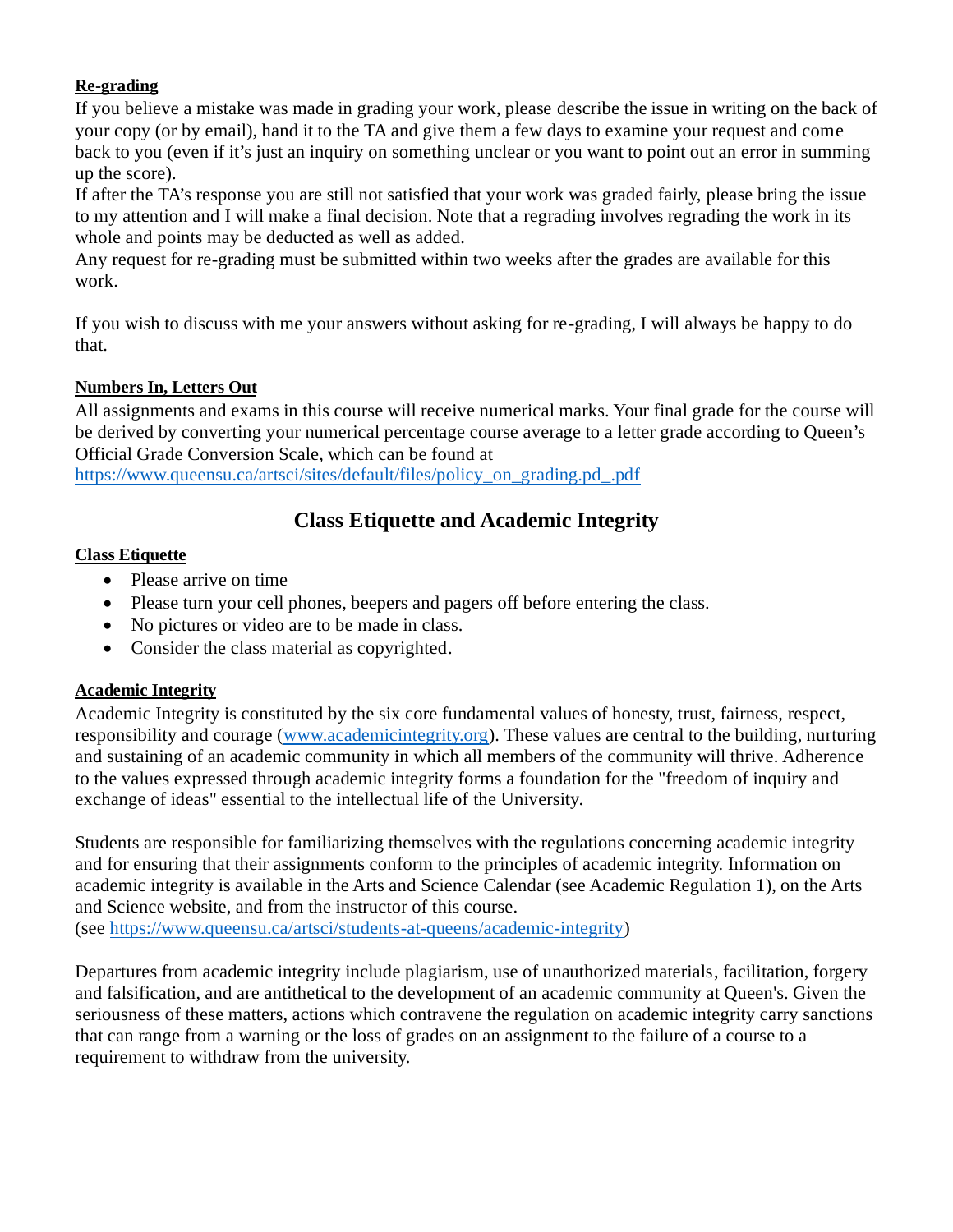### **Re-grading**

If you believe a mistake was made in grading your work, please describe the issue in writing on the back of your copy (or by email), hand it to the TA and give them a few days to examine your request and come back to you (even if it's just an inquiry on something unclear or you want to point out an error in summing up the score).

If after the TA's response you are still not satisfied that your work was graded fairly, please bring the issue to my attention and I will make a final decision. Note that a regrading involves regrading the work in its whole and points may be deducted as well as added.

Any request for re-grading must be submitted within two weeks after the grades are available for this work.

If you wish to discuss with me your answers without asking for re-grading, I will always be happy to do that.

#### **Numbers In, Letters Out**

All assignments and exams in this course will receive numerical marks. Your final grade for the course will be derived by converting your numerical percentage course average to a letter grade according to Queen's Official Grade Conversion Scale, which can be found at

[https://www.queensu.ca/artsci/sites/default/files/policy\\_on\\_grading.pd\\_.pdf](https://www.queensu.ca/artsci/sites/default/files/policy_on_grading.pd_.pdf)

## **Class Etiquette and Academic Integrity**

#### **Class Etiquette**

- Please arrive on time
- Please turn your cell phones, beepers and pagers off before entering the class.
- No pictures or video are to be made in class.
- Consider the class material as copyrighted.

#### **Academic Integrity**

Academic Integrity is constituted by the six core fundamental values of honesty, trust, fairness, respect, responsibility and courage [\(www.academicintegrity.org\)](http://www.academicintegrity.org/). These values are central to the building, nurturing and sustaining of an academic community in which all members of the community will thrive. Adherence to the values expressed through academic integrity forms a foundation for the "freedom of inquiry and exchange of ideas" essential to the intellectual life of the University.

Students are responsible for familiarizing themselves with the regulations concerning academic integrity and for ensuring that their assignments conform to the principles of academic integrity. Information on academic integrity is available in the Arts and Science Calendar (see Academic Regulation 1), on the Arts and Science website, and from the instructor of this course. (see [https://www.queensu.ca/artsci/students-at-queens/academic-integrity\)](https://www.queensu.ca/artsci/students-at-queens/academic-integrity)

Departures from academic integrity include plagiarism, use of unauthorized materials, facilitation, forgery and falsification, and are antithetical to the development of an academic community at Queen's. Given the seriousness of these matters, actions which contravene the regulation on academic integrity carry sanctions that can range from a warning or the loss of grades on an assignment to the failure of a course to a requirement to withdraw from the university.